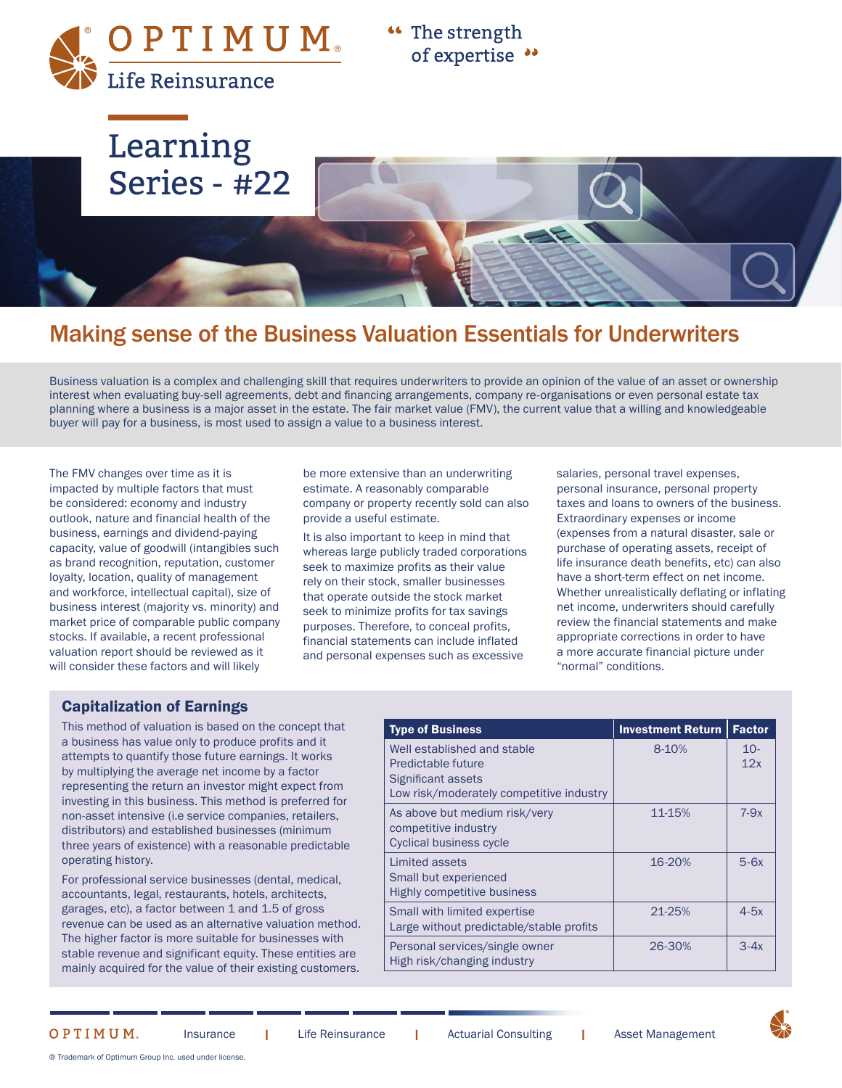$\mathsf{OPT}\, \mathsf{I}\, \mathsf{M}\, \mathsf{U}\, \mathsf{M}_*$ Life Reinsurance

"The strength of expertise ••



# Making sense of the Business Valuation Essentials for Underwriters

Business valuation is a complex and challenging skill that requires underwriters to provide an opinion of the value of an asset or ownership interest when evaluating buy-sell agreements, debt and financing arrangements, company re-organisations or even personal estate tax planning where a business is a major asset in the estate. The fair market value (FMV), the current value that a willing and knowledgeable buyer will pay for a business, is most used to assign a value to a business interest.

The FMV changes over time as it is impacted by multiple factors that must be considered: economy and industry outlook, nature and financial health of the business, earnings and dividend-paying capacity, value of goodwill (intangibles such as brand recognition, reputation, customer loyalty, location, quality of management and workforce, intellectual capital), size of business interest (majority vs. minority) and market price of comparable public company stocks. If available, a recent professional valuation report should be reviewed as it will consider these factors and will likely

be more extensive than an underwriting estimate. A reasonably comparable company or property recently sold can also provide a useful estimate.

It is also important to keep in mind that whereas large publicly traded corporations seek to maximize profits as their value rely on their stock, smaller businesses that operate outside the stock market seek to minimize profits for tax savings purposes. Therefore, to conceal profits, financial statements can include inflated and personal expenses such as excessive

salaries, personal travel expenses, personal insurance, personal property taxes and loans to owners of the business. Extraordinary expenses or income (expenses from a natural disaster, sale or purchase of operating assets, receipt of life insurance death benefits, etc) can also have a short-term effect on net income. Whether unrealistically deflating or inflating net income, underwriters should carefully review the financial statements and make appropriate corrections in order to have a more accurate financial picture under "normal" conditions.

#### Capitalization of Earnings

This method of valuation is based on the concept that a business has value only to produce profits and it attempts to quantify those future earnings. It works by multiplying the average net income by a factor representing the return an investor might expect from investing in this business. This method is preferred for non-asset intensive (i.e service companies, retailers, distributors) and established businesses (minimum three years of existence) with a reasonable predictable operating history.

For professional service businesses (dental, medical, accountants, legal, restaurants, hotels, architects, garages, etc), a factor between 1 and 1.5 of gross revenue can be used as an alternative valuation method. The higher factor is more suitable for businesses with stable revenue and significant equity. These entities are mainly acquired for the value of their existing customers.

| <b>Type of Business</b>                                                                                             | <b>Investment Return</b> | <b>Factor</b> |
|---------------------------------------------------------------------------------------------------------------------|--------------------------|---------------|
| Well established and stable<br>Predictable future<br>Significant assets<br>Low risk/moderately competitive industry | 8-10%                    | $10-$<br>12x  |
| As above but medium risk/very<br>competitive industry<br><b>Cyclical business cycle</b>                             | 11-15%                   | $7-9x$        |
| Limited assets<br>Small but experienced<br><b>Highly competitive business</b>                                       | 16-20%                   | $5-6x$        |
| Small with limited expertise<br>Large without predictable/stable profits                                            | 21-25%                   | $4-5x$        |
| Personal services/single owner<br>High risk/changing industry                                                       | 26-30%                   | $3-4x$        |